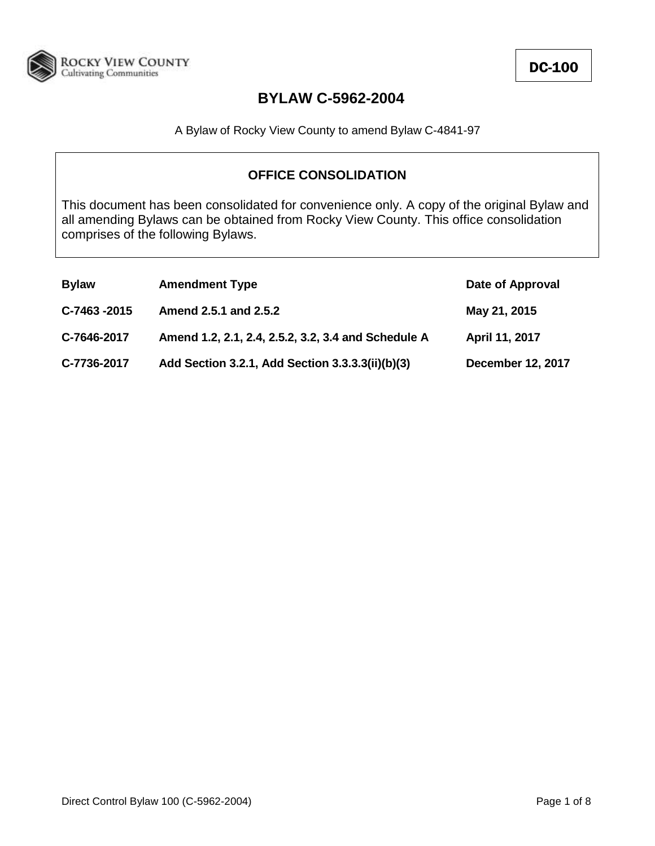

A Bylaw of Rocky View County to amend Bylaw C-4841-97

### **OFFICE CONSOLIDATION**

This document has been consolidated for convenience only. A copy of the original Bylaw and all amending Bylaws can be obtained from Rocky View County. This office consolidation comprises of the following Bylaws.

| <b>Bylaw</b> | <b>Amendment Type</b>                               | Date of Approval         |
|--------------|-----------------------------------------------------|--------------------------|
| C-7463 -2015 | Amend 2.5.1 and 2.5.2                               | May 21, 2015             |
| C-7646-2017  | Amend 1.2, 2.1, 2.4, 2.5.2, 3.2, 3.4 and Schedule A | April 11, 2017           |
| C-7736-2017  | Add Section 3.2.1, Add Section 3.3.3.3(ii)(b)(3)    | <b>December 12, 2017</b> |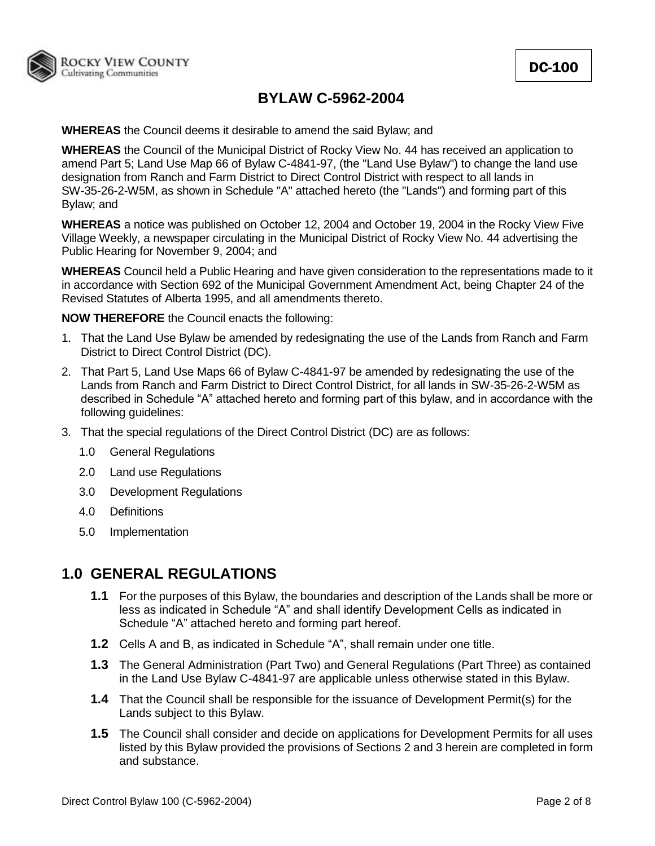

**WHEREAS** the Council deems it desirable to amend the said Bylaw; and

**WHEREAS** the Council of the Municipal District of Rocky View No. 44 has received an application to amend Part 5; Land Use Map 66 of Bylaw C-4841-97, (the "Land Use Bylaw") to change the land use designation from Ranch and Farm District to Direct Control District with respect to all lands in SW-35-26-2-W5M, as shown in Schedule "A" attached hereto (the "Lands") and forming part of this Bylaw; and

**WHEREAS** a notice was published on October 12, 2004 and October 19, 2004 in the Rocky View Five Village Weekly, a newspaper circulating in the Municipal District of Rocky View No. 44 advertising the Public Hearing for November 9, 2004; and

**WHEREAS** Council held a Public Hearing and have given consideration to the representations made to it in accordance with Section 692 of the Municipal Government Amendment Act, being Chapter 24 of the Revised Statutes of Alberta 1995, and all amendments thereto.

**NOW THEREFORE** the Council enacts the following:

- 1. That the Land Use Bylaw be amended by redesignating the use of the Lands from Ranch and Farm District to Direct Control District (DC).
- 2. That Part 5, Land Use Maps 66 of Bylaw C-4841-97 be amended by redesignating the use of the Lands from Ranch and Farm District to Direct Control District, for all lands in SW-35-26-2-W5M as described in Schedule "A" attached hereto and forming part of this bylaw, and in accordance with the following guidelines:
- 3. That the special regulations of the Direct Control District (DC) are as follows:
	- 1.0 General Regulations
	- 2.0 Land use Regulations
	- 3.0 Development Regulations
	- 4.0 Definitions
	- 5.0 Implementation

### **1.0 GENERAL REGULATIONS**

- **1.1** For the purposes of this Bylaw, the boundaries and description of the Lands shall be more or less as indicated in Schedule "A" and shall identify Development Cells as indicated in Schedule "A" attached hereto and forming part hereof.
- **1.2** Cells A and B, as indicated in Schedule "A", shall remain under one title.
- **1.3** The General Administration (Part Two) and General Regulations (Part Three) as contained in the Land Use Bylaw C-4841-97 are applicable unless otherwise stated in this Bylaw.
- **1.4** That the Council shall be responsible for the issuance of Development Permit(s) for the Lands subject to this Bylaw.
- **1.5** The Council shall consider and decide on applications for Development Permits for all uses listed by this Bylaw provided the provisions of Sections 2 and 3 herein are completed in form and substance.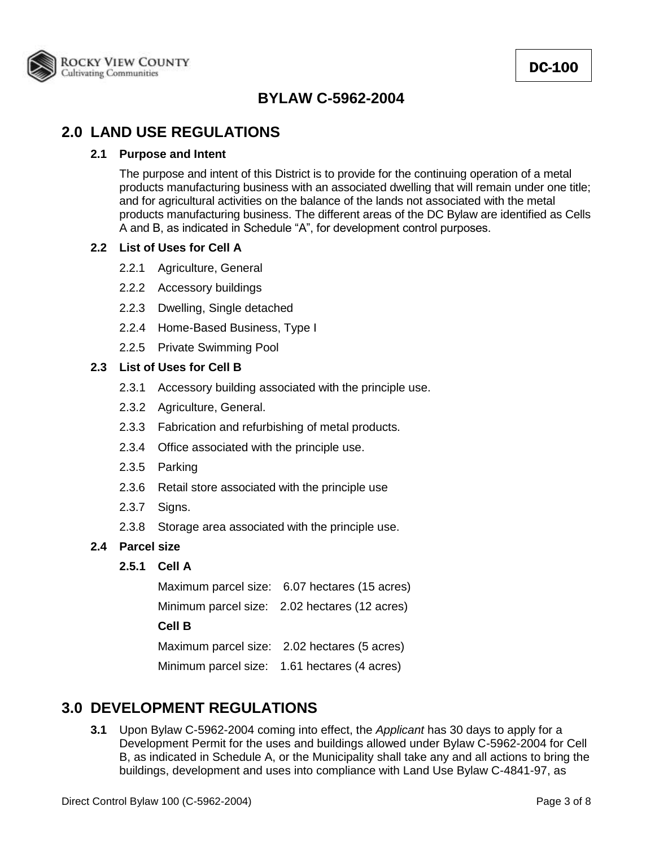

## **2.0 LAND USE REGULATIONS**

#### **2.1 Purpose and Intent**

The purpose and intent of this District is to provide for the continuing operation of a metal products manufacturing business with an associated dwelling that will remain under one title; and for agricultural activities on the balance of the lands not associated with the metal products manufacturing business. The different areas of the DC Bylaw are identified as Cells A and B, as indicated in Schedule "A", for development control purposes.

#### **2.2 List of Uses for Cell A**

- 2.2.1 Agriculture, General
- 2.2.2 Accessory buildings
- 2.2.3 Dwelling, Single detached
- 2.2.4 Home-Based Business, Type I
- 2.2.5 Private Swimming Pool

### **2.3 List of Uses for Cell B**

- 2.3.1 Accessory building associated with the principle use.
- 2.3.2 Agriculture, General.
- 2.3.3 Fabrication and refurbishing of metal products.
- 2.3.4 Office associated with the principle use.
- 2.3.5 Parking
- 2.3.6 Retail store associated with the principle use
- 2.3.7 Signs.
- 2.3.8 Storage area associated with the principle use.
- **2.4 Parcel size**

### **2.5.1 Cell A**

Maximum parcel size: 6.07 hectares (15 acres) Minimum parcel size: 2.02 hectares (12 acres) **Cell B** Maximum parcel size: 2.02 hectares (5 acres) Minimum parcel size: 1.61 hectares (4 acres)

### **3.0 DEVELOPMENT REGULATIONS**

**3.1** Upon Bylaw C-5962-2004 coming into effect, the *Applicant* has 30 days to apply for a Development Permit for the uses and buildings allowed under Bylaw C-5962-2004 for Cell B, as indicated in Schedule A, or the Municipality shall take any and all actions to bring the buildings, development and uses into compliance with Land Use Bylaw C-4841-97, as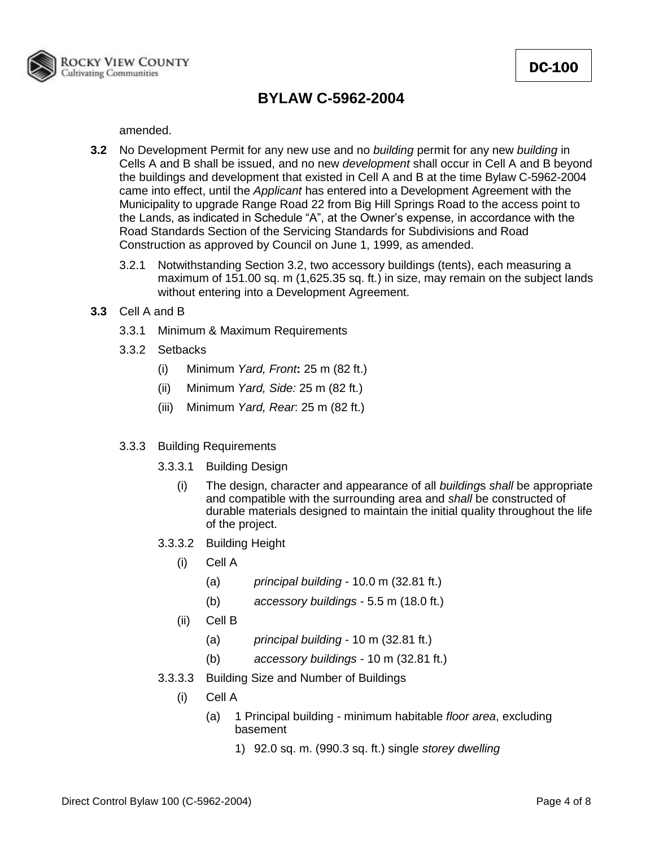

amended.

- **3.2** No Development Permit for any new use and no *building* permit for any new *building* in Cells A and B shall be issued, and no new *development* shall occur in Cell A and B beyond the buildings and development that existed in Cell A and B at the time Bylaw C-5962-2004 came into effect, until the *Applicant* has entered into a Development Agreement with the Municipality to upgrade Range Road 22 from Big Hill Springs Road to the access point to the Lands, as indicated in Schedule "A", at the Owner's expense, in accordance with the Road Standards Section of the Servicing Standards for Subdivisions and Road Construction as approved by Council on June 1, 1999, as amended.
	- 3.2.1 Notwithstanding Section 3.2, two accessory buildings (tents), each measuring a maximum of 151.00 sq. m (1,625.35 sq. ft.) in size, may remain on the subject lands without entering into a Development Agreement.
- **3.3** Cell A and B
	- 3.3.1 Minimum & Maximum Requirements
	- 3.3.2 Setbacks
		- (i) Minimum *Yard, Front***:** 25 m (82 ft.)
		- (ii) Minimum *Yard, Side:* 25 m (82 ft.)
		- (iii) Minimum *Yard, Rear*: 25 m (82 ft.)
	- 3.3.3 Building Requirements
		- 3.3.3.1 Building Design
			- (i) The design, character and appearance of all *building*s *shall* be appropriate and compatible with the surrounding area and *shall* be constructed of durable materials designed to maintain the initial quality throughout the life of the project.
		- 3.3.3.2 Building Height
			- (i) Cell A
				- (a) *principal building* 10.0 m (32.81 ft.)
				- (b) *accessory buildings* 5.5 m (18.0 ft.)
			- (ii) Cell B
				- (a) *principal building* 10 m (32.81 ft.)
				- (b) *accessory buildings* 10 m (32.81 ft.)
		- 3.3.3.3 Building Size and Number of Buildings
			- (i) Cell A
				- (a) 1 Principal building minimum habitable *floor area*, excluding basement
					- 1) 92.0 sq. m. (990.3 sq. ft.) single *storey dwelling*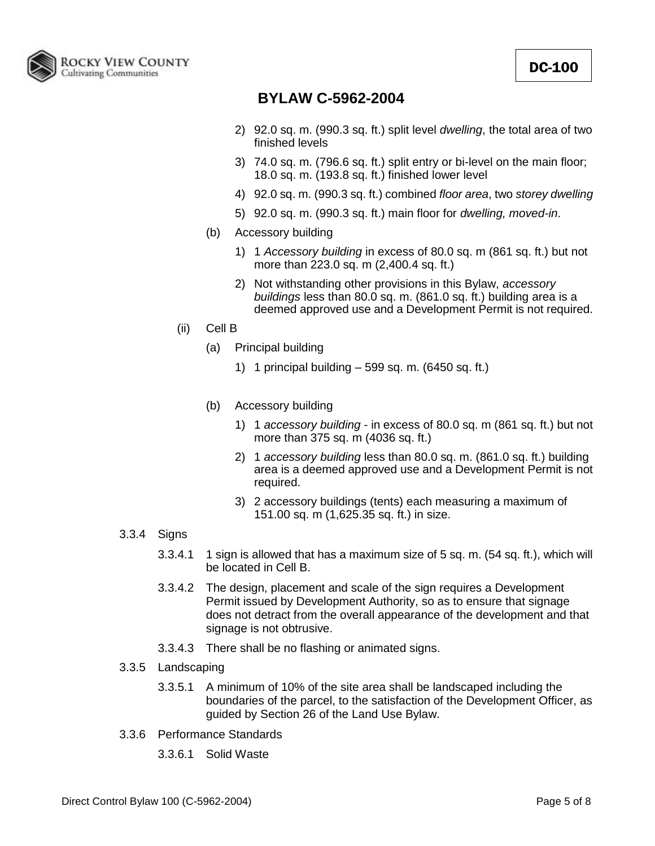

- 2) 92.0 sq. m. (990.3 sq. ft.) split level *dwelling*, the total area of two finished levels
- 3) 74.0 sq. m. (796.6 sq. ft.) split entry or bi-level on the main floor; 18.0 sq. m. (193.8 sq. ft.) finished lower level
- 4) 92.0 sq. m. (990.3 sq. ft.) combined *floor area*, two *storey dwelling*
- 5) 92.0 sq. m. (990.3 sq. ft.) main floor for *dwelling, moved-in*.
- (b) Accessory building
	- 1) 1 *Accessory building* in excess of 80.0 sq. m (861 sq. ft.) but not more than 223.0 sq. m (2,400.4 sq. ft.)
	- 2) Not withstanding other provisions in this Bylaw, *accessory buildings* less than 80.0 sq. m. (861.0 sq. ft.) building area is a deemed approved use and a Development Permit is not required.
- (ii) Cell B
	- (a) Principal building
		- 1) 1 principal building 599 sq. m. (6450 sq. ft.)
	- (b) Accessory building
		- 1) 1 *accessory building* in excess of 80.0 sq. m (861 sq. ft.) but not more than 375 sq. m (4036 sq. ft.)
		- 2) 1 *accessory building* less than 80.0 sq. m. (861.0 sq. ft.) building area is a deemed approved use and a Development Permit is not required.
		- 3) 2 accessory buildings (tents) each measuring a maximum of 151.00 sq. m (1,625.35 sq. ft.) in size.
- 3.3.4 Signs
	- 3.3.4.1 1 sign is allowed that has a maximum size of 5 sq. m. (54 sq. ft.), which will be located in Cell B.
	- 3.3.4.2 The design, placement and scale of the sign requires a Development Permit issued by Development Authority, so as to ensure that signage does not detract from the overall appearance of the development and that signage is not obtrusive.
	- 3.3.4.3 There shall be no flashing or animated signs.
- 3.3.5 Landscaping
	- 3.3.5.1 A minimum of 10% of the site area shall be landscaped including the boundaries of the parcel, to the satisfaction of the Development Officer, as guided by Section 26 of the Land Use Bylaw.
- 3.3.6 Performance Standards
	- 3.3.6.1 Solid Waste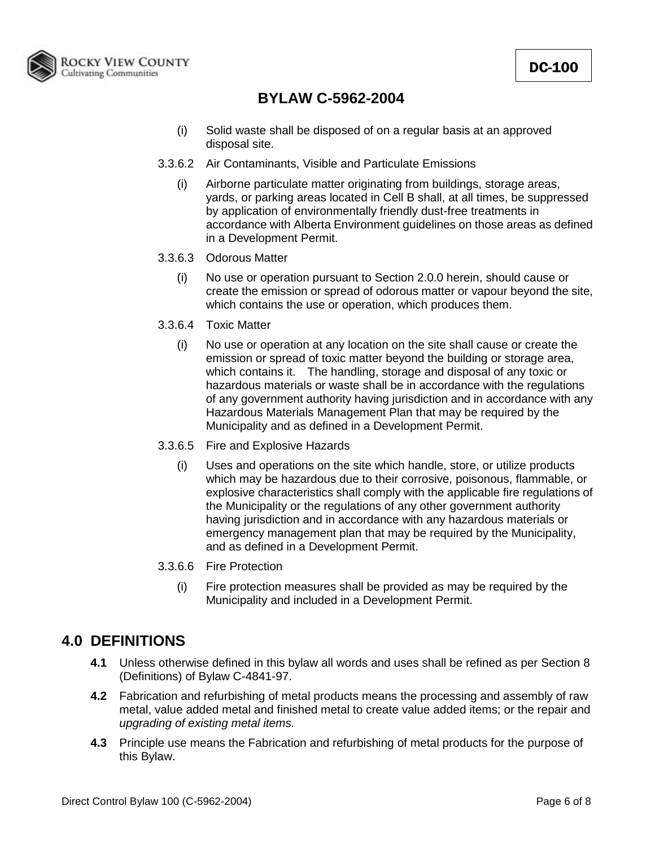

- (i) Solid waste shall be disposed of on a regular basis at an approved disposal site.
- 3.3.6.2 Air Contaminants, Visible and Particulate Emissions
	- (i) Airborne particulate matter originating from buildings, storage areas, yards, or parking areas located in Cell B shall, at all times, be suppressed by application of environmentally friendly dust-free treatments in accordance with Alberta Environment guidelines on those areas as defined in a Development Permit.
- 3.3.6.3 Odorous Matter
	- (i) No use or operation pursuant to Section 2.0.0 herein, should cause or create the emission or spread of odorous matter or vapour beyond the site, which contains the use or operation, which produces them.
- 3.3.6.4 Toxic Matter
	- (i) No use or operation at any location on the site shall cause or create the emission or spread of toxic matter beyond the building or storage area, which contains it. The handling, storage and disposal of any toxic or hazardous materials or waste shall be in accordance with the regulations of any government authority having jurisdiction and in accordance with any Hazardous Materials Management Plan that may be required by the Municipality and as defined in a Development Permit.
- 3.3.6.5 Fire and Explosive Hazards
	- (i) Uses and operations on the site which handle, store, or utilize products which may be hazardous due to their corrosive, poisonous, flammable, or explosive characteristics shall comply with the applicable fire regulations of the Municipality or the regulations of any other government authority having jurisdiction and in accordance with any hazardous materials or emergency management plan that may be required by the Municipality, and as defined in a Development Permit.
- 3.3.6.6 Fire Protection
	- (i) Fire protection measures shall be provided as may be required by the Municipality and included in a Development Permit.

# **4.0 DEFINITIONS**

- **4.1** Unless otherwise defined in this bylaw all words and uses shall be refined as per Section 8 (Definitions) of Bylaw C-4841-97.
- **4.2** Fabrication and refurbishing of metal products means the processing and assembly of raw metal, value added metal and finished metal to create value added items; or the repair and *upgrading of existing metal items.*
- **4.3** Principle use means the Fabrication and refurbishing of metal products for the purpose of this Bylaw.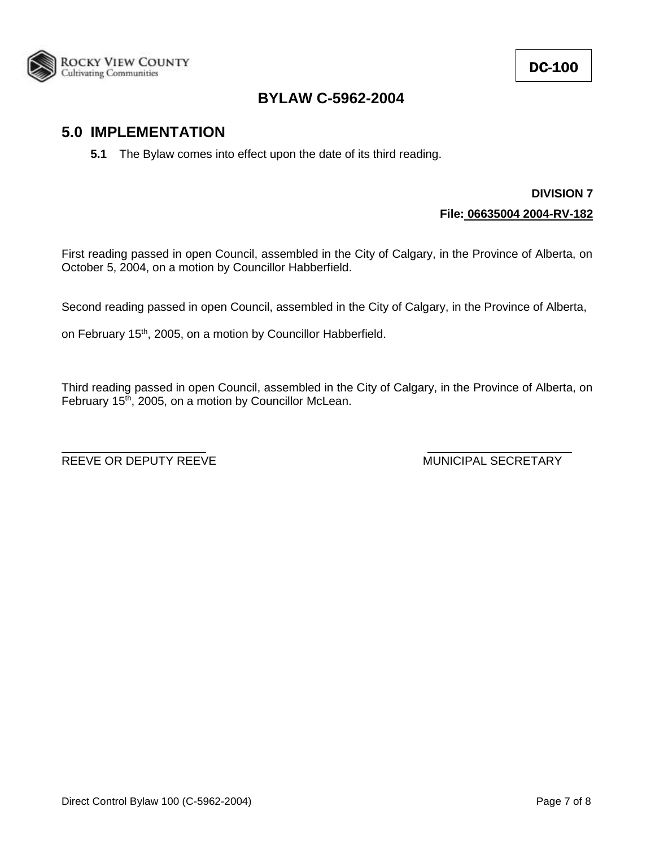

## **5.0 IMPLEMENTATION**

**5.1** The Bylaw comes into effect upon the date of its third reading.

## **DIVISION 7 File: 06635004 2004-RV-182**

First reading passed in open Council, assembled in the City of Calgary, in the Province of Alberta, on October 5, 2004, on a motion by Councillor Habberfield.

Second reading passed in open Council, assembled in the City of Calgary, in the Province of Alberta,

on February 15<sup>th</sup>, 2005, on a motion by Councillor Habberfield.

Third reading passed in open Council, assembled in the City of Calgary, in the Province of Alberta, on February  $15<sup>th</sup>$ , 2005, on a motion by Councillor McLean.

REEVE OR DEPUTY REEVE MUNICIPAL SECRETARY